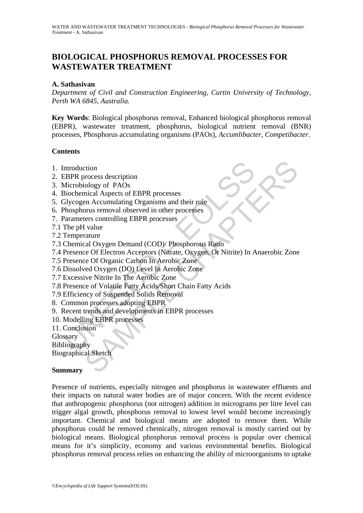# **BIOLOGICAL PHOSPHORUS REMOVAL PROCESSES FOR WASTEWATER TREATMENT**

## **A. Sathasivan**

*Department of Civil and Construction Engineering, Curtin University of Technology, Perth WA 6845, Australia.* 

**Key Words**: Biological phosphorus removal, Enhanced biological phosphorus removal (EBPR), wastewater treatment, phosphorus, biological nutrient removal (BNR) processes, Phosphorus accumulating organisms (PAOs), *Accumlibacter, Competibacter*.

### **Contents**

- 1. Introduction
- 2. EBPR process description
- 3. Microbiology of PAOs
- 4. Biochemical Aspects of EBPR processes
- 5. Glycogen Accumulating Organisms and their role
- 6. Phosphorus removal observed in other processes
- 7. Parameters controlling EBPR processes
- 7.1 The pH value
- 7.2 Temperature
- 7.3 Chemical Oxygen Demand (COD)/ Phosphorous Ratio
- ntroduction<br>
EBPR process description<br>
Microbiology of PAOs<br>
Biochemical Aspects of EBPR processes<br>
Biycogen Accumulating Organisms and their role<br>
Phosphorous removal observed in other processes<br>
Parameters controlling EB compared as a second to the SHAPTER of the SHAPTER and Aspects of EBPR processes<br>the chapter of PAOs<br>and Aspects of EBPR processes<br>or an Accumulating Organisms and their role<br>or an accumulating CHAPTER processes<br>terms cont 7.4 Presence Of Electron Acceptors (Nitrate, Oxygen, Or Nitrite) In Anaerobic Zone
- 7.5 Presence Of Organic Carbon In Aerobic Zone
- 7.6 Dissolved Oxygen (DO) Level In Aerobic Zone
- 7.7 Excessive Nitrite In The Aerobic Zone
- 7.8 Presence of Volatile Fatty Acids/Short Chain Fatty Acids
- 7.9 Efficiency of Suspended Solids Removal
- 8. Common processes adopting EBPR
- 9. Recent trends and developments in EBPR processes
- 10. Modelling EBPR processes

11. Conclusion

**Glossary** 

Bibliography

Biographical Sketch

#### **Summary**

Presence of nutrients, especially nitrogen and phosphorus in wastewater effluents and their impacts on natural water bodies are of major concern. With the recent evidence that anthropogenic phosphorus (not nitrogen) addition in micrograms per litre level can trigger algal growth, phosphorus removal to lowest level would become increasingly important. Chemical and biological means are adopted to remove them. While phosphorus could be removed chemically, nitrogen removal is mostly carried out by biological means. Biological phosphorus removal process is popular over chemical means for it's simplicity, economy and various environmental benefits. Biological phosphorus removal process relies on enhancing the ability of microorganisms to uptake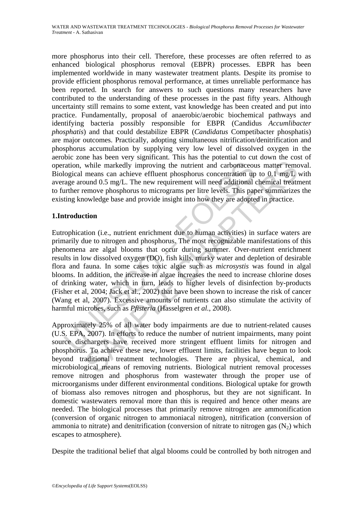more phosphorus into their cell. Therefore, these processes are often referred to as enhanced biological phosphorus removal (EBPR) processes. EBPR has been implemented worldwide in many wastewater treatment plants. Despite its promise to provide efficient phosphorus removal performance, at times unreliable performance has been reported. In search for answers to such questions many researchers have contributed to the understanding of these processes in the past fifty years. Although uncertainty still remains to some extent, vast knowledge has been created and put into practice. Fundamentally, proposal of anaerobic/aerobic biochemical pathways and identifying bacteria possibly responsible for EBPR (Candidus *Accumlibacter phosphatis*) and that could destabilize EBPR (*Candidatus* Competibacter phosphatis) are major outcomes. Practically, adopting simultaneous nitrification/denitrification and phosphorus accumulation by supplying very low level of dissolved oxygen in the aerobic zone has been very significant. This has the potential to cut down the cost of operation, while markedly improving the nutrient and carbonaceous matter removal. Biological means can achieve effluent phosphorus concentration up to 0.1 mg/L with average around 0.5 mg/L. The new requirement will need additional chemical treatment to further remove phosphorus to micrograms per litre levels. This paper summarizes the existing knowledge base and provide insight into how they are adopted in practice.

# **1.Introduction**

ration, while markedly improving the nutrient and carbonaceouslogical means can achieve effluent phosphorus concentration up<br>age around  $0.5$  mg/L. The new requirement will need additional urther remove phosphorus to micr while markedly improving the nutrient and carbonaceous matter removes while markedly improving the nutrient and carbonaceous matter removes means can achieve effluent phosphorus concentration up to 0.1 mg/L wound 0.5 mg/L Eutrophication (i.e., nutrient enrichment due to human activities) in surface waters are primarily due to nitrogen and phosphorus. The most recognizable manifestations of this phenomena are algal blooms that occur during summer. Over-nutrient enrichment results in low dissolved oxygen (DO), fish kills, murky water and depletion of desirable flora and fauna. In some cases toxic algae such as *microsystis* was found in algal blooms. In addition, the increase in algae increases the need to increase chlorine doses of drinking water, which in turn, leads to higher levels of disinfection by-products (Fisher et al, 2004; Jack et al., 2002) that have been shown to increase the risk of cancer (Wang et al, 2007). Excessive amounts of nutrients can also stimulate the activity of harmful microbes, such as *Pfisteria* (Hasselgren *et al.*, 2008).

Approximately 25% of all water body impairments are due to nutrient-related causes (U.S. EPA, 2007). In efforts to reduce the number of nutrient impairments, many point source dischargers have received more stringent effluent limits for nitrogen and phosphorus. To achieve these new, lower effluent limits, facilities have begun to look beyond traditional treatment technologies. There are physical, chemical, and microbiological means of removing nutrients. Biological nutrient removal processes remove nitrogen and phosphorus from wastewater through the proper use of microorganisms under different environmental conditions. Biological uptake for growth of biomass also removes nitrogen and phosphorus, but they are not significant. In domestic wastewaters removal more than this is required and hence other means are needed. The biological processes that primarily remove nitrogen are ammonification (conversion of organic nitrogen to ammoniacal nitrogen), nitrification (conversion of ammonia to nitrate) and denitrification (conversion of nitrate to nitrogen gas  $(N_2)$  which escapes to atmosphere).

Despite the traditional belief that algal blooms could be controlled by both nitrogen and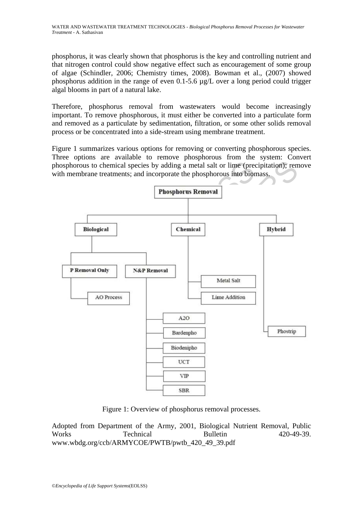phosphorus, it was clearly shown that phosphorus is the key and controlling nutrient and that nitrogen control could show negative effect such as encouragement of some group of algae (Schindler, 2006; Chemistry times, 2008). Bowman et al., (2007) showed phosphorus addition in the range of even 0.1-5.6 µg/L over a long period could trigger algal blooms in part of a natural lake.

Therefore, phosphorus removal from wastewaters would become increasingly important. To remove phosphorous, it must either be converted into a particulate form and removed as a particulate by sedimentation, filtration, or some other solids removal process or be concentrated into a side-stream using membrane treatment.

Figure 1 summarizes various options for removing or converting phosphorous species. Three options are available to remove phosphorous from the system: Convert phosphorous to chemical species by adding a metal salt or lime (precipitation); remove with membrane treatments; and incorporate the phosphorous into biomass.



Figure 1: Overview of phosphorus removal processes.

Adopted from Department of the Army, 2001, Biological Nutrient Removal, Public Works Technical Bulletin 420-49-39. www.wbdg.org/ccb/ARMYCOE/PWTB/pwtb\_420\_49\_39.pdf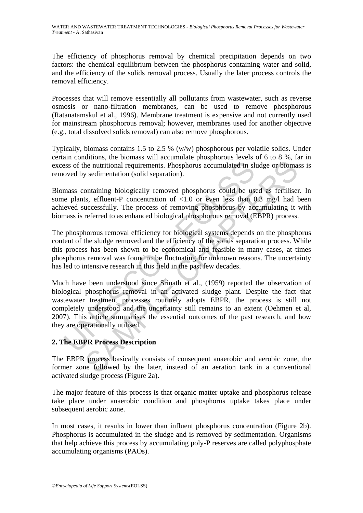The efficiency of phosphorus removal by chemical precipitation depends on two factors: the chemical equilibrium between the phosphorus containing water and solid, and the efficiency of the solids removal process. Usually the later process controls the removal efficiency.

Processes that will remove essentially all pollutants from wastewater, such as reverse osmosis or nano-filtration membranes, can be used to remove phosphorous (Ratanatamskul et al., 1996). Membrane treatment is expensive and not currently used for mainstream phosphorous removal; however, membranes used for another objective (e.g., total dissolved solids removal) can also remove phosphorous.

Typically, biomass contains 1.5 to 2.5 % (w/w) phosphorous per volatile solids. Under certain conditions, the biomass will accumulate phosphorous levels of 6 to 8 %, far in excess of the nutritional requirements. Phosphorus accumulated in sludge or biomass is removed by sedimentation (solid separation).

Biomass containing biologically removed phosphorus could be used as fertiliser. In some plants, effluent-P concentration of <1.0 or even less than 0.3 mg/l had been achieved successfully. The process of removing phosphorus by accumulating it with biomass is referred to as enhanced biological phosphorous removal (EBPR) process.

The phosphorous removal efficiency for biological systems depends on the phosphorus content of the sludge removed and the efficiency of the solids separation process. While this process has been shown to be economical and feasible in many cases, at times phosphorus removal was found to be fluctuating for unknown reasons. The uncertainty has led to intensive research in this field in the past few decades.

ses of the nutritional requirements. Phosphorus accumulated in sl<br>oved by sedimentation (solid separation).<br>
mass containing biologically removed phosphorus could be use<br>
e plants, effluent-P concentration of <1.0 or even the nutritional requirements. Phosphorus accumulated in sludge or biomay sedimentation (solid separation).<br>
Sontaining biologically removed phosphorus could be used as fertilisets, effluent-P concentration of <1.0 or even Much have been understood since Srinath et al., (1959) reported the observation of biological phosphorus removal in an activated sludge plant. Despite the fact that wastewater treatment processes routinely adopts EBPR, the process is still not completely understood and the uncertainty still remains to an extent (Oehmen et al, 2007). This article summarises the essential outcomes of the past research, and how they are operationally utilised.

# **2. The EBPR Process Description**

The EBPR process basically consists of consequent anaerobic and aerobic zone, the former zone followed by the later, instead of an aeration tank in a conventional activated sludge process (Figure 2a).

The major feature of this process is that organic matter uptake and phosphorus release take place under anaerobic condition and phosphorus uptake takes place under subsequent aerobic zone.

In most cases, it results in lower than influent phosphorus concentration (Figure 2b). Phosphorus is accumulated in the sludge and is removed by sedimentation. Organisms that help achieve this process by accumulating poly-P reserves are called polyphosphate accumulating organisms (PAOs).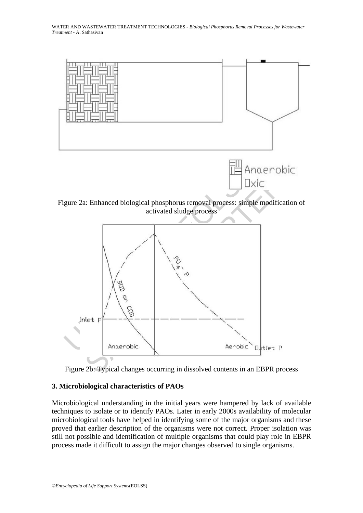

Figure 2b: Typical changes occurring in dissolved contents in an EBPR process

## **3. Microbiological characteristics of PAOs**

Microbiological understanding in the initial years were hampered by lack of available techniques to isolate or to identify PAOs. Later in early 2000s availability of molecular microbiological tools have helped in identifying some of the major organisms and these proved that earlier description of the organisms were not correct. Proper isolation was still not possible and identification of multiple organisms that could play role in EBPR process made it difficult to assign the major changes observed to single organisms.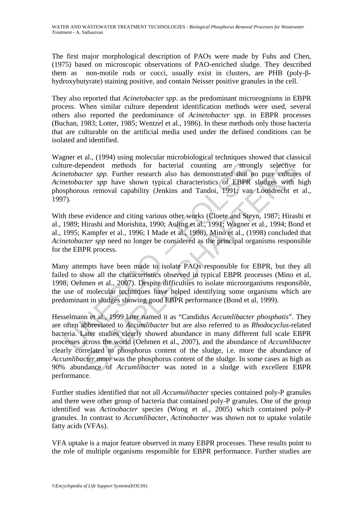The first major morphological description of PAOs were made by Fuhs and Chen, (1975) based on microscopic observations of PAO-enriched sludge. They described them as non-motile rods or cocci, usually exist in clusters, are PHB (poly-βhydroxybutyrate) staining positive, and contain Neisser positive granules in the cell.

They also reported that *Acinetobacter spp*. as the predominant microrognisms in EBPR process. When similar culture dependent identification methods were used, several others also reported the predominance of *Acinetobacter spp*. in EBPR processes (Buchan, 1983; Lotter, 1985; Wentzel et al., 1986). In these methods only those bacteria that are culturable on the artificial media used under the defined conditions can be isolated and identified.

ure-dependent methods for bacterial counting are strong<br>*etobacter spp*. Further research also has demonstrated that neetobacter spp have shown typical characteristics of EBPR<br>sphorous removal capability (Jenkins and Tando Wagner et al., (1994) using molecular microbiological techniques showed that classical culture-dependent methods for bacterial counting are strongly selective for *Acinetobacter spp*. Further research also has demonstrated that no pure cultures of *Acinetobacter spp* have shown typical characteristics of EBPR sludges with high phosphorous removal capability (Jenkins and Tandoi, 1991; van Loosdrecht et al., 1997).

With these evidence and citing various other works (Cloete and Steyn, 1987; Hirashi et al., 1989; Hirashi and Morishita, 1990; Auling et al., 1991; Wagner et al., 1994; Bond et al., 1995; Kampfer et al., 1996; I Made et al., 1998), Mino et al., (1998) concluded that *Acinetobacter spp* need no longer be considered as the principal organisms responsible for the EBPR process.

Many attempts have been made to isolate PAOs responsible for EBPR, but they all failed to show all the characteristics observed in typical EBPR processes (Mino et al, 1998; Oehmen et al., 2007). Despite difficulties to isolate microorganisms responsible, the use of molecular techniques have helped identifying some organisms which are predominant in sludges showing good EBPR performance (Bond et al, 1999).

and performance of the studies for bacterial counting are strongly selective then the thods for bacterial counting are strongly selective the repp. Further research also has demonstrated that no pure culture ther spp. Fur Hesselmann et al., 1999 later named it as "Candidus *Accumlibacter phosphatis*". They are often abbreviated to *Accumlibacter* but are also referred to as *Rhodocyclus*-related bacteria. Later studies clearly showed abundance in many different full scale EBPR processes across the world (Oehmen et al., 2007), and the abundance of *Accumlibacter* clearly correlated to phosphorus content of the sludge, i.e. more the abundance of *Accumlibacter* more was the phosphorus content of the sludge. In some cases as high as 90% abundance of *Accumlibacter* was noted in a sludge with excellent EBPR performance.

Further studies identified that not all *Accumulibacter* species contained poly-P granules and there were other group of bacteria that contained poly-P granules. One of the group identified was *Actinobacter* species (Wong et al., 2005) which contained poly-P granules. In contrast to *Accumlibacter*, *Actinobacter* was shown not to uptake volatile fatty acids (VFAs).

VFA uptake is a major feature observed in many EBPR processes. These results point to the role of multiple organisms responsible for EBPR performance. Further studies are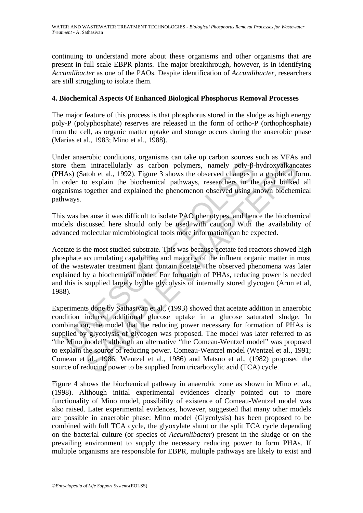continuing to understand more about these organisms and other organisms that are present in full scale EBPR plants. The major breakthrough, however, is in identifying *Accumlibacter* as one of the PAOs. Despite identification of *Accumlibacter*, researchers are still struggling to isolate them.

## **4. Biochemical Aspects Of Enhanced Biological Phosphorus Removal Processes**

The major feature of this process is that phosphorus stored in the sludge as high energy poly-P (polyphosphate) reserves are released in the form of ortho-P (orthophosphate) from the cell, as organic matter uptake and storage occurs during the anaerobic phase (Marias et al., 1983; Mino et al., 1988).

Under anaerobic conditions, organisms can take up carbon sources such as VFAs and store them intracellularly as carbon polymers, namely poly-β-hydroxyalkanoates (PHAs) (Satoh et al., 1992). Figure 3 shows the observed changes in a graphical form. In order to explain the biochemical pathways, researchers in the past bulked all organisms together and explained the phenomenon observed using known biochemical pathways.

This was because it was difficult to isolate PAO phenotypes, and hence the biochemical models discussed here should only be used with caution. With the availability of advanced molecular microbiological tools more information can be expected.

e them intracellularly as carbon polymers, namely poly- $\beta$ -<br>As) (Satoh et al., 1992). Figure 3 shows the observed changes in<br>order to explain the biochemical pathways, researchers in the<br>misms together and explained the p Acetate is the most studied substrate. This was because acetate fed reactors showed high phosphate accumulating capabilities and majority of the influent organic matter in most of the wastewater treatment plant contain acetate. The observed phenomena was later explained by a biochemical model. For formation of PHAs, reducing power is needed and this is supplied largely by the glycolysis of internally stored glycogen (Arun et al, 1988).

in intracellularly as carbon polymers, namely poly-β-hydroxyalkand<br>toh et al., 1992). Figure 3 shows the observed changes in a graphical foo explain the biochemical pathways, researchers in the past bulked<br>together and exp Experiments done by Sathasivan et al., (1993) showed that acetate addition in anaerobic condition induced additional glucose uptake in a glucose saturated sludge. In combination, the model that the reducing power necessary for formation of PHAs is supplied by glycolysis of glycogen was proposed. The model was later referred to as "the Mino model" although an alternative "the Comeau-Wentzel model" was proposed to explain the source of reducing power. Comeau-Wentzel model (Wentzel et al., 1991; Comeau et al., 1986; Wentzel et al., 1986) and Matsuo et al., (1982) proposed the source of reducing power to be supplied from tricarboxylic acid (TCA) cycle.

Figure 4 shows the biochemical pathway in anaerobic zone as shown in Mino et al., (1998). Although initial experimental evidences clearly pointed out to more functionality of Mino model, possibility of existence of Comeau-Wentzel model was also raised. Later experimental evidences, however, suggested that many other models are possible in anaerobic phase: Mino model (Glycolysis) has been proposed to be combined with full TCA cycle, the glyoxylate shunt or the split TCA cycle depending on the bacterial culture (or species of *Accumlibacter*) present in the sludge or on the prevailing environment to supply the necessary reducing power to form PHAs. If multiple organisms are responsible for EBPR, multiple pathways are likely to exist and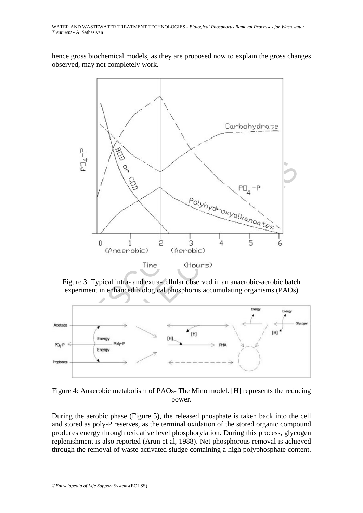hence gross biochemical models, as they are proposed now to explain the gross changes observed, may not completely work.



Figure 3: Typical intra- and extra-cellular observed in an anaerobic-aerobic batch experiment in enhanced biological phosphorus accumulating organisms (PAOs)



Figure 4: Anaerobic metabolism of PAOs- The Mino model. [H] represents the reducing power.

During the aerobic phase (Figure 5), the released phosphate is taken back into the cell and stored as poly-P reserves, as the terminal oxidation of the stored organic compound produces energy through oxidative level phosphorylation. During this process, glycogen replenishment is also reported (Arun et al, 1988). Net phosphorous removal is achieved through the removal of waste activated sludge containing a high polyphosphate content.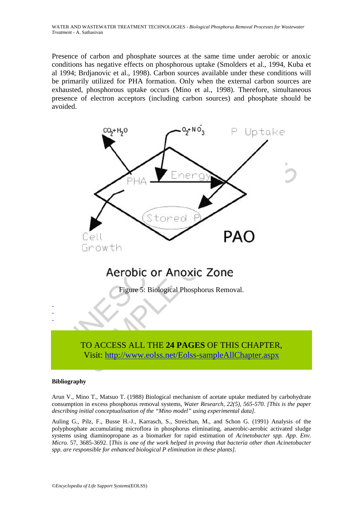WATER AND WASTEWATER TREATMENT TECHNOLOGIES - *Biological Phosphorus Removal Processes for Wastewater Treatment* - A. Sathasivan

Presence of carbon and phosphate sources at the same time under aerobic or anoxic conditions has negative effects on phosphorous uptake (Smolders et al., 1994, Kuba et al 1994; Brdjanovic et al., 1998). Carbon sources available under these conditions will be primarily utilized for PHA formation. Only when the external carbon sources are exhausted, phosphorous uptake occurs (Mino et al., 1998). Therefore, simultaneous presence of electron acceptors (including carbon sources) and phosphate should be avoided.



#### **Bibliography**

Arun V., Mino T., Matsuo T. (1988) Biological mechanism of acetate uptake mediated by carbohydrate consumption in excess phosphorus removal systems, *Water Research, 22(5), 565-570. [This is the paper describing initial conceptualisation of the "Mino model" using experimental data].* 

Auling G., Pilz, F., Busse H.-J., Karrasch, S., Streichan, M., and Schon G. (1991) Analysis of the polyphosphate accumulating microflora in phosphorus eliminating, anaerobic-aerobic activated sludge systems using diaminopropane as a biomarker for rapid estimation of *Acinetobacter spp. App. Env. Micro.* 57, 3685-3692. [*This is one of the work helped in proving that bacteria other than Acinetobacter spp. are responsible for enhanced biological P elimination in these plants].*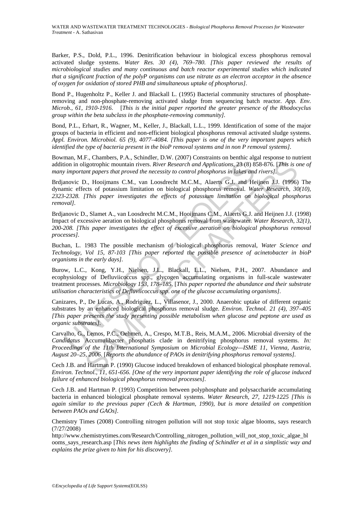Barker, P.S., Dold, P.L., 1996. Denitrification behaviour in biological excess phosphorus removal activated sludge systems. *Water Res. 30 (4), 769–780. [This paper reviewed the results of microbiological studies and many continuous and batch reactor experimental studies which indicated that a significant fraction of the polyP organisms can use nitrate as an electron acceptor in the absence of oxygen for oxidation of stored PHB and simultaneous uptake of phosphorus].* 

Bond P., Hugenholtz P., Keller J. and Blackall L. (1995) Bacterial community structures of phosphateremoving and non-phosphate-removing activated sludge from sequencing batch reactor. *App. Env. Microb., 61, 1910-1916.* [*This is the initial paper reported the greater presence of the Rhodocyclus group within the beta subclass in the phosphate-removing community].* 

Bond, P.L., Erhart, R., Wagner, M., Keller, J., Blackall, L.L., 1999. Identification of some of the major groups of bacteria in efficient and non-efficient biological phosphorus removal activated sludge systems. *Appl. Environ. Microbiol. 65 (9), 4077–4084. [This paper is one of the very important papers which identified the type of bacteria present in the bioP removal systems and in non P removal systems].* 

Bowman, M.F., Chambers, P.A., Schindler, D.W. (2007) Constraints on benthic algal response to nutrient addition in oligotrophic mountain rivers. *River Research and Applications*, 23 (8) 858-876. [*This is one of many important papers that proved the necessity to control phosphorus in lakes and rivers].* 

ion in oligotrophic mountain rivers. *River Research and Applications*, 23 (8) 8<br> *important papers that proved the necessity to control phosphorus in lakes and*<br>
manovic D., Hooijmans C.M., van Loosdrecht M.C.M., Alaerts ligotrophic mountain rivers. *River Research and Applications,* 23 (8) 858-876. [*This is only papers that proved the necessity to control phosphorus in lakes and rivers].*<br> *S.* (200) mass C.M., van Loosdrecht M.C.M., Ho Brdjanovic D., Hooijmans C.M., van Loosdrecht M.C.M., Alaerts G.J. and Heijnen J.J. (1996) The dynamic effects of potassium limitation on biological phosphorus removal. *Water Research, 30(10), 2323-2328. [This paper investigates the effects of potassium limitation on biological phosphorus removal].* 

Brdjanovic D., Slamet A., van Loosdrecht M.C.M., Hooijmans C.M., Alaerts G.J. and Heijnen J.J. (1998) Impact of excessive aeration on biological phosphorus removal from wastewater. *Water Research, 32(1), 200-208. [This paper investigates the effect of excessive aeration on biological phosphorus removal processes].* 

Buchan, L. 1983 The possible mechanism of biological phosphorus removal, *Water Science and Technology, Vol 15, 87-103 [This paper reported the possible presence of acinetobacter in bioP organisms in the early days].* 

Burow, L.C., Kong, Y.H., Nielsen, J.L., Blackall, L.L., Nielsen, P.H., 2007. Abundance and ecophysiology of Defluviicoccus spp., glycogen accumulating organisms in full-scale wastewater treatment processes. *Microbiology 153, 178–185*. [*This paper reported the abundance and their substrate utilisation characteristics of Defluviicoccus spp. one of the glucose accumulating organisms].* 

Canizares, P., De Lucas, A., Rodriguez, L., Villasenor, J., 2000. Anaerobic uptake of different organic substrates by an enhanced biological phosphorus removal sludge. *Environ. Technol. 21 (4), 397–405 [This paper presents the study presenting possible metabolism when glucose and peptone are used as organic substrates].* 

Carvalho, G., Lemos, P.C., Oehmen, A., Crespo, M.T.B., Reis, M.A.M., 2006. Microbial diversity of the *Candidatus* Accumulibacter phosphatis clade in denitrifying phosphorus removal systems. *In: Proceedings of the 11th International Symposium on Microbial Ecology—ISME 11, Vienna, Austria, August 20–25, 2006*. [*Reports the abundance of PAOs in denitrifying phosphorus removal systems].* 

Cech J.B. and Hartman P. (1990) Glucose induced breakdown of enhanced biological phosphate removal. *Environ. Technol., 11, 651-656. [One of the very important paper identifying the role of glucose induced failure of enhanced biological phosphorus removal processes].* 

Cech J.B. and Hartman P. (1993) Competition between polyphosphate and polysaccharide accumulating bacteria in enhanced biological phosphate removal systems. *Water Research, 27, 1219-1225 [This is again similar to the previous paper (Cech & Hartman, 1990), but is more detailed on competition between PAOs and GAOs].* 

Chemistry Times (2008) Controlling nitrogen pollution will not stop toxic algae blooms, says research (7/27/2008)

http://www.chemistrytimes.com/Research/Controlling\_nitrogen\_pollution\_will\_not\_stop\_toxic\_algae\_bl ooms\_says\_research.asp [*This news item highlights the finding of Schindler et al in a simplistic way and explains the prize given to him for his discovery].*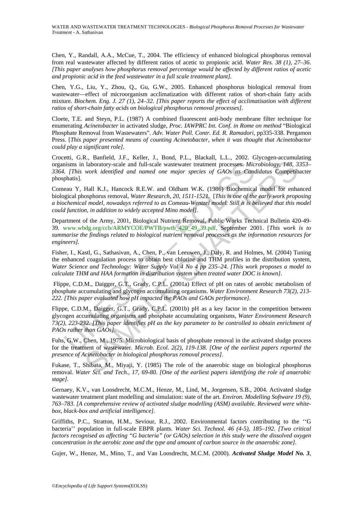Chen, Y., Randall, A.A., McCue, T., 2004. The efficiency of enhanced biological phosphorus removal from real wastewater affected by different ratios of acetic to propionic acid. *Water Res. 38 (1), 27–36. [This paper analyses how phosphorus removal percentage would be affected by different ratios of acetic and propionic acid in the feed wastewater in a full scale treatment plant].* 

Chen, Y.G., Liu, Y., Zhou, Q., Gu, G.W., 2005. Enhanced phosphorus biological removal from wastewater—effect of microorganism acclimatization with different ratios of short-chain fatty acids mixture. *Biochem. Eng. J. 27 (1), 24–32. [This paper reports the effect of acclimatisation with different ratios of short-chain fatty acids on biological phosphorus removal processes].* 

Cloete, T.E. and Steyn, P.L. (1987) A combined fluorescent anti-body membrane filter technique for enumerating *Acinetobacter* in activated sludge, *Proc. IAWPRC Int. Conf. in Rome on method* "Biological Phosphate Removal from Wastewaters". *Adv. Water Poll. Contr. Ed. R. Ramadori*, pp335-338. Pergamon Press. [*This paper presented means of counting Acinetobacter, when it was thought that Acinetobactor could play a significant role].* 

Crocetti, G.R., Banfield, J.F., Keller, J., Bond, P.L., Blackall, L.L., 2002. Glycogen-accumulating organisms in laboratory-scale and full-scale wastewater treatment processes. *Microbiology, 148, 3353– 3364. [This work identified and named one major species of GAOs as Candidatus* Competibacter phosphatis].

Comeau Y, Hall K.J., Hancock R.E.W. and Oldham W.K. (1986) Biochemical model for enhanced biological phosphorus removal, *Water Research, 20, 1511-1521.* [*This is one of the early work proposing a biochemical model, nowadays referred to as Comeau-Wentzel model. Still it is believed that this model could function, in addition to widely accepted Mino model].* 

nisms in laboratory-scale and full-scale wastewater treatment processes. Mic.<br>
[This work identified and named one major species of GAOs as Canceau<br>
phatis).<br>
[This work identified and named one major species of GAOs as Ca laboratory-scale and full-scale wastewater treatment processes. Microbiology, 148, 3<br>work identified and named one major species of GAOs as Candidaus Competib<br>with identified and named one major species of GAOs as Candida Department of the Army, 2001, Biological Nutrient Removal, Public Works Technical Bulletin 420-49- 39. www.wbdg.org/ccb/ARMYCOE/PWTB/pwtb\_420\_49\_39.pdf, September 2001. [*This work is to summarise the findings related to biological nutrient removal processes as the information resources for engineers].* 

Fisher, I., Kastl, G., Sathasivan, A., Chen, P., van Leeuwen, J., Daly, R. and Holmes, M. (2004) Tuning the enhanced coagulation process to obtain best chlorine and THM profiles in the distribution system, *Water Science and Technology: Water Supply Vol 4 No 4 pp 235–24. [This work proposes a model to calculate THM and HAA formation in distribution system when treated water DOC is known].* 

 Flippe, C.D.M., Daigger, G.T., Grady, C.P.L. (2001a) Effect of pH on rates of aerobic metabolism of phosphate accumulating and glycogen accumulating organisms. *Water Environment Research 73(2), 213- 222. [This paper evaluated how pH impacted the PAOs and GAOs performance].* 

Flippe, C.D.M., Daigger, G.T., Grady, C.P.L. (2001b) pH as a key factor in the competition between glycogen accumulating organisms and phosphate accumulating organisms, *Water Environment Research 73(2), 223-232. [This paper identifies pH as the key parameter to be controlled to obtain enrichment of PAOs rather than GAOs].* 

Fuhs, G.W., Chen, M., 1975. Microbiological basis of phosphate removal in the activated sludge process for the treatment of wastewater*. Microb. Ecol. 2(2), 119-138. [One of the earliest papers reported the presence of Acinetobacter in biological phosphorus removal process].* 

Fukase, T., Shibata, M., Miyaji, Y. (1985) The role of the anaerobic stage on biological phosphorus removal. *Water Sci. and Tech., 17, 69-80. [One of the earliest papers identifying the role of anaerobic stage].* 

Gernaey, K.V., van Loosdrecht, M.C.M., Henze, M., Lind, M., Jorgensen, S.B., 2004. Activated sludge wastewater treatment plant modelling and simulation: state of the art. *Environ. Modelling Software 19 (9), 763–783. [A comprehensive review of activated sludge modelling (ASM) available. Reviewed were whitebox, black-box and artificial intelligence].* 

Griffiths, P.C., Stratton, H.M., Seviour, R.J., 2002. Environmental factors contributing to the ''G bacteria'' population in full-scale EBPR plants. *Water Sci. Technol. 46 (4-5), 185–192. [Two critical factors recognised as affecting "G bacteria" (or GAOs) selection in this study were the dissolved oxygen concentration in the aerobic zone and the type and amount of carbon source in the anaerobic zone].* 

Gujer, W., Henze, M., Mino, T., and Van Loosdrecht, M.C.M. (2000). *Activated Sludge Model No. 3*,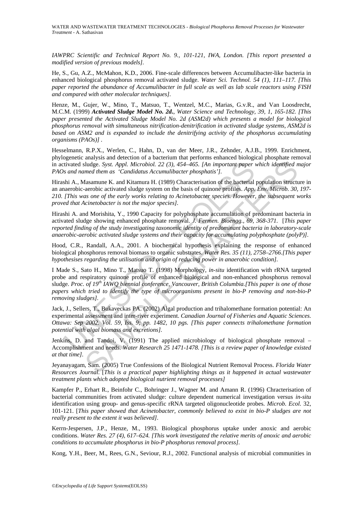*IAWPRC Scientific and Technical Report No. 9., 101-121, IWA, London. [This report presented a modified version of previous models].* 

He, S., Gu, A.Z., McMahon, K.D., 2006. Fine-scale differences between Accumulibacter-like bacteria in enhanced biological phosphorus removal activated sludge. *Water Sci. Technol. 54 (1), 111–117. [This paper reported the abundance of Accumulibacter in full scale as well as lab scale reactors using FISH and compared with other molecular techniques].* 

Henze, M., Gujer, W., Mino, T., Matsuo, T., Wentzel, M.C., Marias, G.v.R., and Van Loosdrecht, M.C.M. (1999) *Activated Sludge Model No. 2d***.**, *Water Science and Technology, 39, 1, 165-182. [This paper presented the Activated Sludge Model No. 2d (ASM2d) which presents a model for biological phosphorus removal with simultaneous nitrification-denitrification in activated sludge systems, ASM2d is based on ASM2 and is expanded to include the denitrifying activity of the phosphorus accumulating organisms (PAOs)] .* 

Hesselmann, R.P.X., Werlen, C., Hahn, D., van der Meer, J.R., Zehnder, A.J.B., 1999. Enrichment, phylogenetic analysis and detection of a bacterium that performs enhanced biological phosphate removal in activated sludge. *Syst. Appl. Microbiol. 22 (3), 454–465. [An important paper which identified major PAOs and named them as 'Candidatus Accumulibacter phosphatis'].* 

Hirashi A., Masamune K. and Kitamura H. (1989) Characterisation of the bacterial population structure in an anaerobic-aerobic activated sludge system on the basis of quinone profiles. *App. Env. Microb. 30, 197- 210. [This was one of the early works relating to Acinetobacter species. However, the subsequent works proved that Acinetobacter is not the major species].* 

Hirashi A. and Morishita, Y., 1990 Capacity for polyphosphate accumulation of predominant bacteria in activated sludge showing enhanced phosphate removal. *J. Fermen. Bioengg., 69, 368-371.* [*This paper reported finding of the study investigating taxonomic identity of predominant bacteria in laboratory-scale anaerobic-aerobic activated sludge systems and their capacity for accumulating polyphosphate (polyP)].* 

Hood, C.R., Randall, A.A., 2001. A biochemical hypothesis explaining the response of enhanced biological phosphorus removal biomass to organic substrates. *Water Res. 35 (11), 2758–2766.[This paper hypothesises regarding the utilisation and origin of reducing power in anaerobic condition].* 

tivated sludge. Syst. Appl. Microbiol. 22 (3), 454–465. [An important paper<br>
is and named them as 'Candidatus Accumulibacter phosphatis'].<br>
Shi A., Masamune K. and Kitamura H. (1989) Characterisation of the bacterial<br>
par shudge. Syst. Appl. Microbiol. 22 (3), 454-465. [An important paper which identified med them as 'Candidatus Accumulibacter phosphatis'].<br>
Shades the standard and Kineman H. (1989) Characterisation of the bacterial popula I Made S., Sato H., Mino T., Matsuo T. (1998) Morphology, *in-situ* identification with rRNA targeted probe and respiratory quinone profile of enhanced biological and non-enhanced phosphorus removal sludge. *Proc. of 19th IAWQ biennial conference, Vancouver, British Columbia.[This paper is one of those papers which tried to identify the type of microorganisms present in bio-P removing and non-bio-P removing sludges].* 

Jack, J., Sellers, T., Bukaveckas PA. (2002) Algal production and trihalomethane formation potential: An experimental assessment and inter-river experiment. *Canadian Journal of Fisheries and Aquatic Sciences. Ottawa: Sep 2002. Vol. 59, Iss. 9; pp. 1482, 10 pgs. [This paper connects trihalomethane formation potential with algal biomass and excretions].* 

Jenkins, D. and Tandoi, V. (1991) The applied microbiology of biological phosphate removal – Accomplishment and needs. *Water Research 25 1471-1478. [This is a review paper of knowledge existed at that time].* 

Jeyanayagam, Sam. (2005) True Confessions of the Biological Nutrient Removal Process. *Florida Water Resources Journal*. [*This is a practical paper highlighting things as it happened in actual wastewater treatment plants which adopted biological nutrient removal processes]* 

Kampfer P., Erhart R., Beinfohr C., Bohringer J., Wagner M. and Amann R. (1996) Chracterisation of bacterial communities from activated sludge: culture dependent numerical investigation versus *in-situ* identification using group- and genus-specific rRNA targeted oligonucleotide probes. *Microb. Ecol.* 32, 101-121. [*This paper showed that Acinetobacter, commonly believed to exist in bio-P sludges are not really present to the extent it was believed].* 

Kerrn-Jespersen, J.P., Henze, M., 1993. Biological phosphorus uptake under anoxic and aerobic conditions. *Water Res. 27 (4), 617–624. [This work investigated the relative merits of anoxic and aerobic conditions to accumulate phosphorus in bio-P phosphorus removal process].* 

Kong, Y.H., Beer, M., Rees, G.N., Seviour, R.J., 2002. Functional analysis of microbial communities in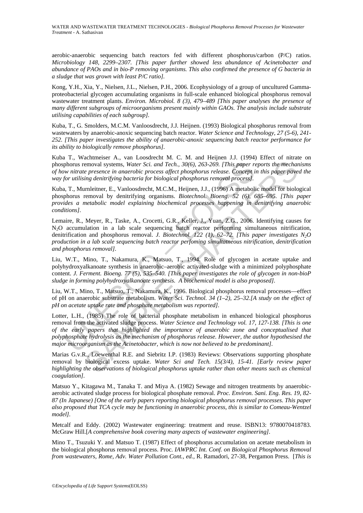aerobic-anaerobic sequencing batch reactors fed with different phosphorus/carbon (P/C) ratios. *Microbiology 148, 2299–2307. [This paper further showed less abundance of Acinetobacter and abundance of PAOs and in bio-P removing organisms. This also confirmed the presence of G bacteria in a sludge that was grown with least P/C ratio].* 

Kong, Y.H., Xia, Y., Nielsen, J.L., Nielsen, P.H., 2006. Ecophysiology of a group of uncultured Gammaproteobacterial glycogen accumulating organisms in full-scale enhanced biological phosphorus removal wastewater treatment plants. *Environ. Microbiol. 8 (3), 479–489 [This paper analyses the presence of many different subgroups of microorganisms present mainly within GAOs. The analysis include substrate utilising capabilities of each subgroup].* 

Kuba, T., G. Smolders, M.C.M. Vanloosdrecht, J.J. Heijnen. (1993) Biological phosphorus removal from wastewaters by anaerobic-anoxic sequencing batch reactor. *Water Science and Technology, 27 (5-6), 241- 252. [This paper investigates the ability of anaerobic-anoxic sequencing batch reactor performance for its ability to biologically remove phosphorus].* 

Kuba T., Wachtmeiser A., van Loosdrecht M. C. M. and Heijnen J.J. (1994) Effect of nitrate on phosphorus removal systems, *Water Sci. and Tech., 30(6), 263-269. [This paper reports the mechanisms of how nitrate presence in anaerobic process affect phosphorus release. Concept in this paper paved the way for utilising denitrifying bacteria for biological phosphorus removal process].* 

Kuba, T., Murnleitner, E., Vanloosdrecht, M.C.M., Heijnen, J.J., (1996) A metabolic model for biological phosphorus removal by denitrifying organisms. *Biotechnol. Bioeng. 52 (6), 685–695. [This paper provides a metabolic model explaining biochemical processes happening in denitrifying anaerobic conditions].* 

phorus removal systems, *Water Sci. and Tech.*, 30(6), 263-269. [This paper row nitrate presence in anaerobic process affect phosphorus release. Concept is the matter in anaerobic process affect phosphorus removal process) emoval systems, Water Sci. and Tech, 30(6), 263-269. [This paper reports the mechaning emoval systems, Water Sci. and Tech, 30(6), 263-269. [This paper reports the mechaning denitrifying bacteria for biological phosphorns Lemaire, R., Meyer, R., Taske, A., Crocetti, G.R., Keller, J., Yuan, Z.G., 2006. Identifying causes for N2O accumulation in a lab scale sequencing batch reactor performing simultaneous nitrification, denitrification and phosphorus removal. *J. Biotechnol. 122 (1), 62–72. [This paper investigates N<sub>2</sub>O production in a lab scale sequencing batch reactor perfoming simultatneous nitrification, denitrification and phosphorus removal].* 

Liu, W.T., Mino, T., Nakamura, K., Matsuo, T., 1994. Role of glycogen in acetate uptake and polyhydroxyalkanoate synthesis in anaerobic–aerobic activated-sludge with a minimized polyphosphate content. *J. Ferment. Bioeng. 77 (5), 535–540. [This paper investigates the role of glycogen in non-bioP sludge in forming polyhydroxyalkanoate synthesis. A biochemical model is also proposed].* 

Liu, W.T., Mino, T., Matsuo, T., Nakamura, K., 1996. Biological phosphorus removal processes—effect of pH on anaerobic substrate metabolism. *Water Sci. Technol. 34 (1–2), 25–32.[A study on the effect of pH on acetate uptake rate and phosphate metabolism was reported].* 

Lotter, L.H., (1985) The role of bacterial phosphate metabolism in enhanced biological phosphorus removal from the activated sludge process. *Water Science and Technology vol. 17, 127-138. [This is one of the early papers that highlighted the importance of anaerobic zone and conceptualised that polyphosphate hydrolysis as the mechanism of phosphorus release. However, the author hypothesised the major microorganism as the Acinetobacter, which is now not believed to be predominant].* 

Marias G.v.R., Loewenthal R.E. and Siebritz I.P. (1983) Reviews: Observations supporting phosphate removal by biological excess uptake. *Water Sci and Tech. 15(3/4), 15-41. [Early review paper highlighting the observations of biological phosphorus uptake rather than other means such as chemical coagulation].* 

Matsuo Y., Kitagawa M., Tanaka T. and Miya A. (1982) Sewage and nitrogen treatments by anaerobicaerobic activated sludge process for biological phosphate removal. *Proc. Environ. Sani. Eng. Res. 19, 82- 87 (In Japanese) [One of the early papers reporting biological phosphorus removal processes. This paper also proposed that TCA cycle may be functioning in anaerobic process, this is similar to Comeau-Wentzel model].* 

Metcalf and Eddy. (2002) Wastewater engineering: treatment and reuse. ISBN13: 9780070418783. McGraw Hill.[*A comprehensive book covering many aspects of wastewater engineering].* 

Mino T., Tsuzuki Y. and Matsuo T. (1987) Effect of phosphorus accumulation on acetate metabolism in the biological phosphorus removal process. Proc. *IAWPRC Int. Conf. on Biological Phosphorus Removal from wastewaters, Rome, Adv. Water Pollution Cont., ed.,* R. Ramadori, 27-38, Pergamon Press. [*This is*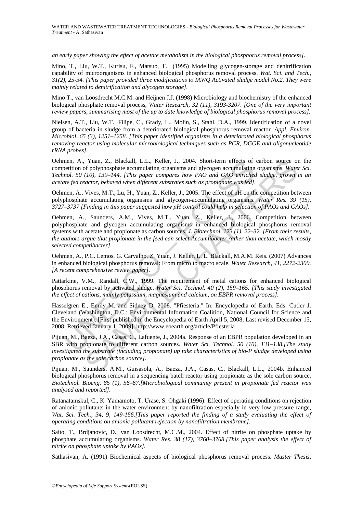*an early paper showing the effect of acetate metabolism in the biological phosphorus removal process].* 

Mino, T., Liu, W.T., Kurisu, F., Matsuo, T. (1995) Modelling glycogen-storage and denitrification capability of microorganisms in enhanced biological phosphorus removal process. *Wat. Sci. and Tech., 31(2), 25-34. [This paper provided three modifications to IAWQ Activated sludge model No.2. They were mainly related to denitrification and glycogen storage].* 

Mino T., van Loosdrecht M.C.M. and Heijnen J.J. (1998) Microbiology and biochemistry of the enhanced biological phosphate removal process, *Water Research, 32 (11), 3193-3207. [One of the very important review papers, summarising most of the up to date knowledge of biological phosphorus removal process].* 

Nielsen, A.T., Liu, W.T., Filipe, C., Grady, L., Molin, S., Stahl, D.A., 1999. Identification of a novel group of bacteria in sludge from a deteriorated biological phosphorus removal reactor*. Appl. Environ. Microbiol. 65 (3), 1251–1258. [This paper identified organisms in a deteriorated biological phosphorus removing reactor using molecular microbiological techniques such as PCR, DGGE and oligonucleotide rRNA probes].* 

Oehmen, A., Yuan, Z., Blackall, L.L., Keller, J., 2004. Short-term effects of carbon source on the competition of polyphosphate accumulating organisms and glycogen accumulating organisms. *Water Sci. Technol. 50 (10), 139–144. [This paper compares how PAO and GAO enriched sludge, grown in an acetate fed reactor, behaved when different substrates such as propionate was fed].* 

Oehmen, A., Vives, M.T., Lu, H., Yuan, Z., Keller, J., 2005. The effect of pH on the competition between polyphosphate accumulating organisms and glycogen-accumulating organisms. *Water Res. 39 (15), 3727–3737 [Finding in this paper suggested how pH control could help in selection of PAOs and GAOs].* 

men, A., Yuan, Z., Blackall, L.L., Keller, J., 2004. Short-term effects of<br>pertinon of polyphosphate accumulating requasions and glycogen accumulating<br>nol. 50 (10), 139–144. [This paper compares how PAO and GAO emriches<br>te Yuan, Z., Blackall, L.L., Keller, J., 2004. Short-term effects of carbon source of the multistary energy and  $G$  (10), 139-144. (This paper compares how PAO and GAO enriched sludge, grown  $H_0$ ), 139-144. (This paper comp Oehmen, A., Saunders, A.M., Vives, M.T., Yuan, Z., Keller, J., 2006. Competition between polyphosphate and glycogen accumulating organisms in enhanced biological phosphorus removal systems with acetate and propionate as carbon sources. *J. Biotechnol. 123 (1), 22–32. [From their results, the authors argue that propionate in the feed can select Accumlibacter rather than acetate, which mostly selected competibacter].* 

Oehmen, A., P.C. Lemos, G. Carvalho, Z. Yuan, J. Keller, L. L. Blackall, M.A.M. Reis. (2007) Advances in enhanced biological phosphorus removal: From micro to macro scale. *Water Research, 41, 2272-2300. [A recent comprehensive review paper].* 

Pattarkine, V.M., Randall, C.W., 1999. The requirement of metal cations for enhanced biological phosphorus removal by activated sludge. *Water Sci. Technol. 40 (2), 159–165. [This study investigated the effect of cations, mainly potassium, magnesium and calcium, on EBPR removal process].* 

Hasselgren E., Emily M. and Sidney D. 2008. "Pfiesteria." In: Encyclopedia of Earth. Eds. Cutler J. Cleveland (Washington, D.C.: Environmental Information Coalition, National Council for Science and the Environment). [First published in the Encyclopedia of Earth April 5, 2008; Last revised December 15, 2008; Retrieved January 1, 2009]. http://www.eoearth.org/article/Pfiesteria

Pijuan, M., Baeza, J.A., Casas, C., Lafuente, J., 2004a. Response of an EBPR population developed in an SBR with propionate to different carbon sources. *Water Sci. Technol. 50 (10), 131–138.[The study investigated the substrate (including propionate) up take characteristics of bio-P sludge developed using propionate as the sole carbon source].* 

Pijuan, M., Saunders, A.M., Guisasola, A., Baeza, J.A., Casas, C., Blackall, L.L., 2004b. Enhanced biological phosphorus removal in a sequencing batch reactor using propionate as the sole carbon source. *Biotechnol. Bioeng. 85 (1), 56–67.[Microbiological community present in propionate fed reactor was analysed and reported].* 

Ratanatamskul, C., K. Yamamoto, T. Urase, S. Ohgaki (1996): Effect of operating conditions on rejection of anionic pollutants in the water environment by nanofiltration especially in very low pressure range, Wat. Sci. Tech., 34, 9, 149-156.[This paper reported the finding of a study evaluating the effect of *operating conditions on anionic pollutant rejection by nanofiltration membrane].* 

Saito, T., Brdjanovic, D., van Loosdrecht, M.C.M., 2004. Effect of nitrite on phosphate uptake by phosphate accumulating organisms. *Water Res. 38 (17), 3760–3768.[This paper analysis the effect of nitrite on phosphate uptake by PAOs].* 

Sathasivan, A. (1991) Biochemical aspects of biological phosphorus removal process. *Master Thesis,*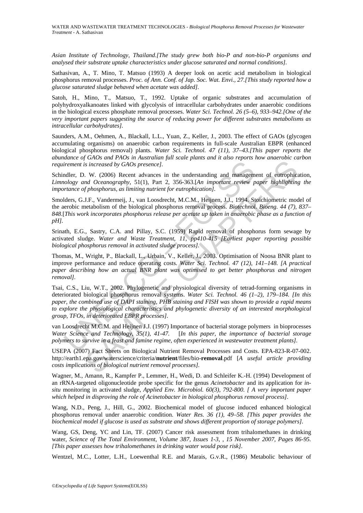*Asian Institute of Technology, Thailand.[The study grew both bio-P and non-bio-P organisms and analysed their substrate uptake characteristics under glucose saturated and normal conditions].* 

Sathasivan, A., T. Mino, T. Matsuo (1993) A deeper look on acetic acid metabolism in biological phosphorus removal processes. *Proc. of Ann. Conf. of Jap. Soc. Wat. Envi., 27.[This study reported how a glucose saturated sludge behaved when acetate was added].* 

Satoh, H., Mino, T., Matsuo, T., 1992. Uptake of organic substrates and accumulation of polyhydroxyalkanoates linked with glycolysis of intracellular carbohydrates under anaerobic conditions in the biological excess phosphate removal processes. *Water Sci. Technol. 26 (5–6), 933–942.[One of the very important papers suggesting the source of reducing power for different substrates metabolisms as intracellular carbohydrates].* 

Saunders, A.M., Oehmen, A., Blackall, L.L., Yuan, Z., Keller, J., 2003. The effect of GAOs (glycogen accumulating organisms) on anaerobic carbon requirements in full-scale Australian EBPR (enhanced biological phosphorus removal) plants. *Water Sci. Technol. 47 (11), 37–43.[This paper reports the abundance of GAOs and PAOs in Australian full scale plants and it also reports how anaerobic carbon requirement is increased by GAOs presence].* 

Schindler, D. W. (2006) Recent advances in the understanding and management of eutrophication, *Limnology and Oceanography*, 51(1), Part 2, 356-363.[*An important review paper highlighting the importance of phosphorus, as limiting nutrient for eutrophication].* 

Smolders, G.J.F., Vandermeij, J., van Loosdrecht, M.C.M., Heijnen, J.J., 1994. Stoichiometric model of the aerobic metabolism of the biological phosphorus removal process. *Biotechnol. Bioeng. 44 (7), 837– 848*.[*This work incorporates phosphorus release per acetate up taken in anaerobic phase as a function of pH].* 

Srinath, E.G., Sastry, C.A. and Pillay, S.C. (1959) Rapid removal of phosphorus form sewage by activated sludge. *Water and Waste Treatment, 11, pp410-415 [Earliest paper reporting possible biological phosphorus removal in activated sludge process].* 

Thomas, M., Wright, P., Blackall, L., Urbain, V., Keller, J., 2003. Optimisation of Noosa BNR plant to improve performance and reduce operating costs. *Water Sci. Technol. 47 (12), 141–148. [A practical paper describing how an actual BNR plant was optimised to get better phosphorus and nitrogen removal].* 

irement is increased by GAOs presence].<br>
Indler, D. W. (2006) Recent advances in the understanding and managem<br>
ology and Oceanography, 51(1), Part 2, 356-363.[An important review p<br>
pritance of phosphorus, as limiting nut is increased by GAOs presence].<br>
S. W. (2006) Recent advances in the understanding and management of eutrophical<br>
or  $M$  (2006) Recent advances in the understanding and management of eutrophical<br>
phosphorus, as limiting n Tsai, C.S., Liu, W.T., 2002. Phylogenetic and physiological diversity of tetrad-forming organisms in deteriorated biological phosphorus removal systems. *Water Sci. Technol. 46 (1–2), 179–184. [In this paper, the combined use of DAPI staining, PHB staining and FISH was shown to provide a rapid means to explore the physiological characteristics and phylogenetic diversity of an interested morphological group, TFOs, in deteriorated EBPR processes].* 

van Loosdrecht M.C.M. and Heijnen J.J. (1997) Importance of bacterial storage polymers in bioprocesses *Water Science and Technology, 35(1), 41-47.* [*In this paper, the importance of bacterial storage polymers to survive in a feast and famine regime, often experienced in wastewater treatment plants].* 

USEPA (2007) Fact Sheets on Biological Nutrient Removal Processes and Costs. EPA-823-R-07-002. http://earth1.epa.gov/waterscience/criteria/**nutrient**/files/bio-**removal**.pdf [*A useful article providing costs implications of biological nutrient removal processes].* 

Wagner, M., Amann, R., Kampfer P., Lemmer, H., Wedi, D. and Schleifer K.-H. (1994) Development of an rRNA-targeted oligonucleotide probe specific for the genus *Acinetobacter* and its application for *insitu* monitoring in activated sludge, *Applied Env. Microbiol. 60(3), 792-800. [ A very important paper which helped in disproving the role of Acinetobacter in biological phosphorus removal process].* 

Wang, N.D., Peng, J., Hill, G., 2002. Biochemical model of glucose induced enhanced biological phosphorus removal under anaerobic condition. *Water Res. 36 (1), 49–58. [This paper provides the biochemical model if glucose is used as substrate and shows different proportion of storage polymers].* 

Wang, GS, Deng, YC and Lin, TF. (2007) Cancer risk assessment from trihalomethanes in drinking water, *Science of The Total Environment*, *Volume 387, Issues 1-3, , 15 November 2007, Pages 86-95. [This paper assesses how trihalomethanes in drinking water would pose risk].* 

Wentzel, M.C., Lotter, L.H., Loewenthal R.E. and Marais, G.v.R., (1986) Metabolic behaviour of